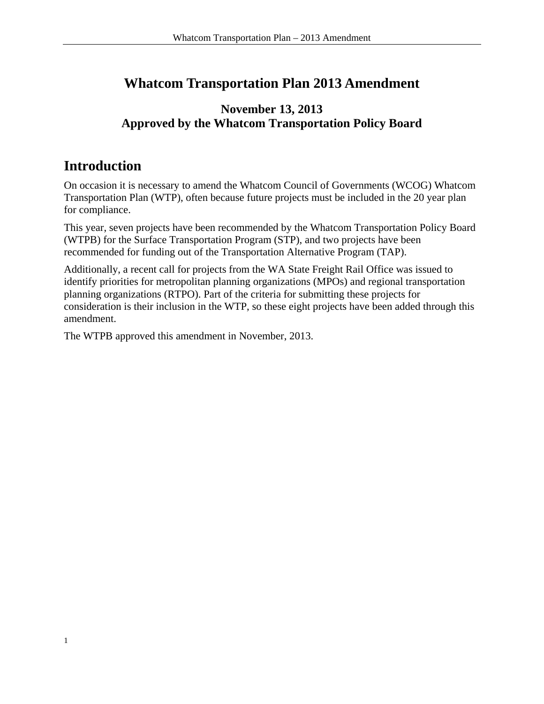## **Whatcom Transportation Plan 2013 Amendment**

## **November 13, 2013 Approved by the Whatcom Transportation Policy Board**

## **Introduction**

On occasion it is necessary to amend the Whatcom Council of Governments (WCOG) Whatcom Transportation Plan (WTP), often because future projects must be included in the 20 year plan for compliance.

This year, seven projects have been recommended by the Whatcom Transportation Policy Board (WTPB) for the Surface Transportation Program (STP), and two projects have been recommended for funding out of the Transportation Alternative Program (TAP).

Additionally, a recent call for projects from the WA State Freight Rail Office was issued to identify priorities for metropolitan planning organizations (MPOs) and regional transportation planning organizations (RTPO). Part of the criteria for submitting these projects for consideration is their inclusion in the WTP, so these eight projects have been added through this amendment.

The WTPB approved this amendment in November, 2013.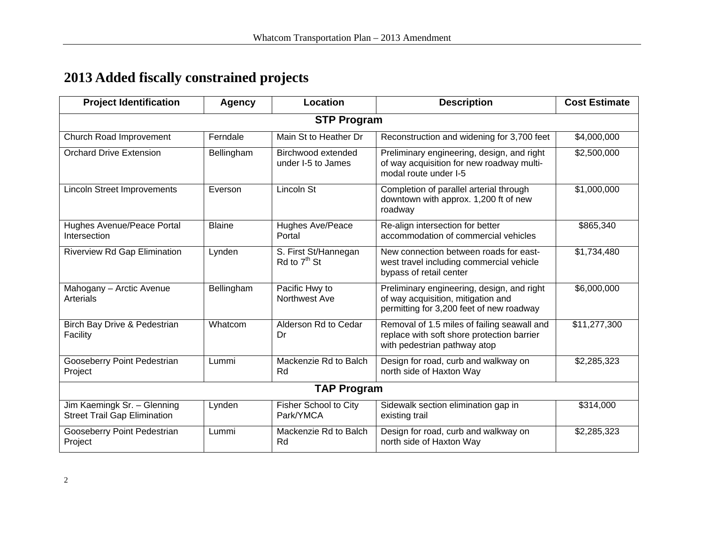## **2013 Added fiscally constrained projects**

| <b>Project Identification</b>                                      | <b>Agency</b> | Location                                 | <b>Description</b>                                                                                                           | <b>Cost Estimate</b> |  |  |
|--------------------------------------------------------------------|---------------|------------------------------------------|------------------------------------------------------------------------------------------------------------------------------|----------------------|--|--|
| <b>STP Program</b>                                                 |               |                                          |                                                                                                                              |                      |  |  |
| Church Road Improvement                                            | Ferndale      | Main St to Heather Dr                    | Reconstruction and widening for 3,700 feet                                                                                   | \$4,000,000          |  |  |
| <b>Orchard Drive Extension</b>                                     | Bellingham    | Birchwood extended<br>under I-5 to James | Preliminary engineering, design, and right<br>of way acquisition for new roadway multi-<br>modal route under I-5             | \$2,500,000          |  |  |
| <b>Lincoln Street Improvements</b>                                 | Everson       | Lincoln St                               | Completion of parallel arterial through<br>downtown with approx. 1,200 ft of new<br>roadway                                  | \$1,000,000          |  |  |
| Hughes Avenue/Peace Portal<br>Intersection                         | <b>Blaine</b> | Hughes Ave/Peace<br>Portal               | Re-align intersection for better<br>accommodation of commercial vehicles                                                     | \$865,340            |  |  |
| <b>Riverview Rd Gap Elimination</b>                                | Lynden        | S. First St/Hannegan<br>Rd to $7th$ St   | New connection between roads for east-<br>west travel including commercial vehicle<br>bypass of retail center                | \$1,734,480          |  |  |
| Mahogany - Arctic Avenue<br>Arterials                              | Bellingham    | Pacific Hwy to<br>Northwest Ave          | Preliminary engineering, design, and right<br>of way acquisition, mitigation and<br>permitting for 3,200 feet of new roadway | \$6,000,000          |  |  |
| Birch Bay Drive & Pedestrian<br>Facility                           | Whatcom       | Alderson Rd to Cedar<br>Dr               | Removal of 1.5 miles of failing seawall and<br>replace with soft shore protection barrier<br>with pedestrian pathway atop    | \$11,277,300         |  |  |
| Gooseberry Point Pedestrian<br>Project                             | Lummi         | Mackenzie Rd to Balch<br>Rd              | Design for road, curb and walkway on<br>north side of Haxton Way                                                             | \$2,285,323          |  |  |
| <b>TAP Program</b>                                                 |               |                                          |                                                                                                                              |                      |  |  |
| Jim Kaemingk Sr. - Glenning<br><b>Street Trail Gap Elimination</b> | Lynden        | Fisher School to City<br>Park/YMCA       | Sidewalk section elimination gap in<br>existing trail                                                                        | \$314,000            |  |  |
| Gooseberry Point Pedestrian<br>Project                             | Lummi         | Mackenzie Rd to Balch<br>Rd              | Design for road, curb and walkway on<br>north side of Haxton Way                                                             | \$2,285,323          |  |  |